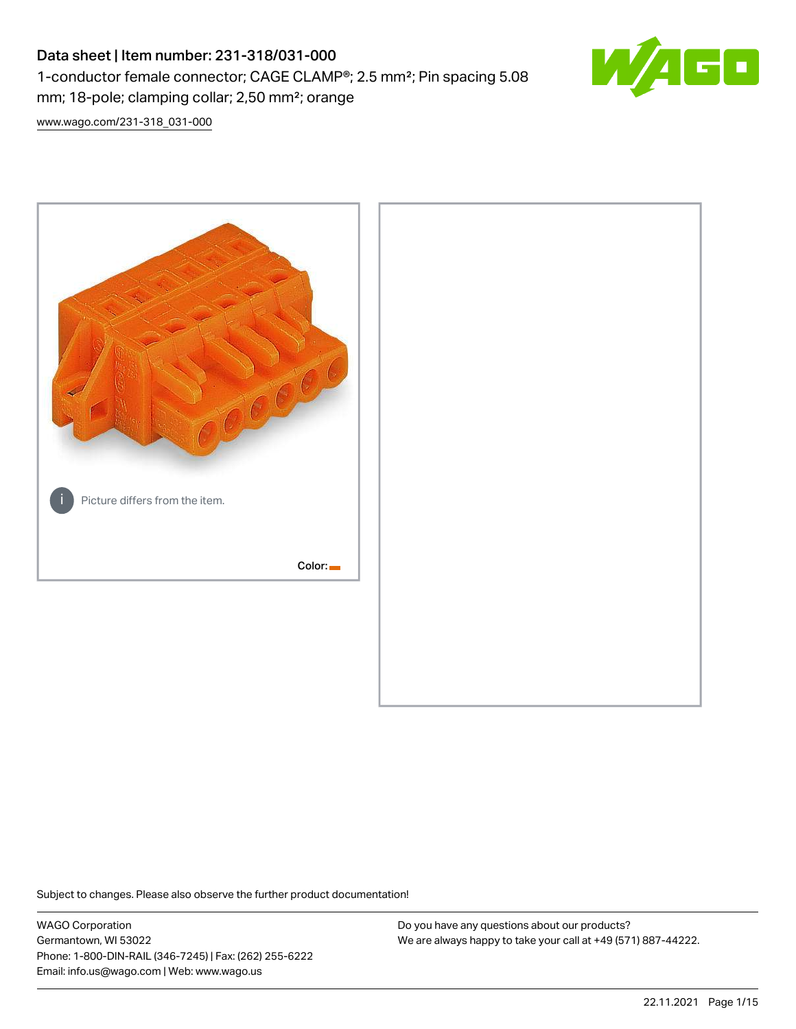# Data sheet | Item number: 231-318/031-000 1-conductor female connector; CAGE CLAMP®; 2.5 mm²; Pin spacing 5.08 mm; 18-pole; clamping collar; 2,50 mm²; orange



[www.wago.com/231-318\\_031-000](http://www.wago.com/231-318_031-000)



Subject to changes. Please also observe the further product documentation!

WAGO Corporation Germantown, WI 53022 Phone: 1-800-DIN-RAIL (346-7245) | Fax: (262) 255-6222 Email: info.us@wago.com | Web: www.wago.us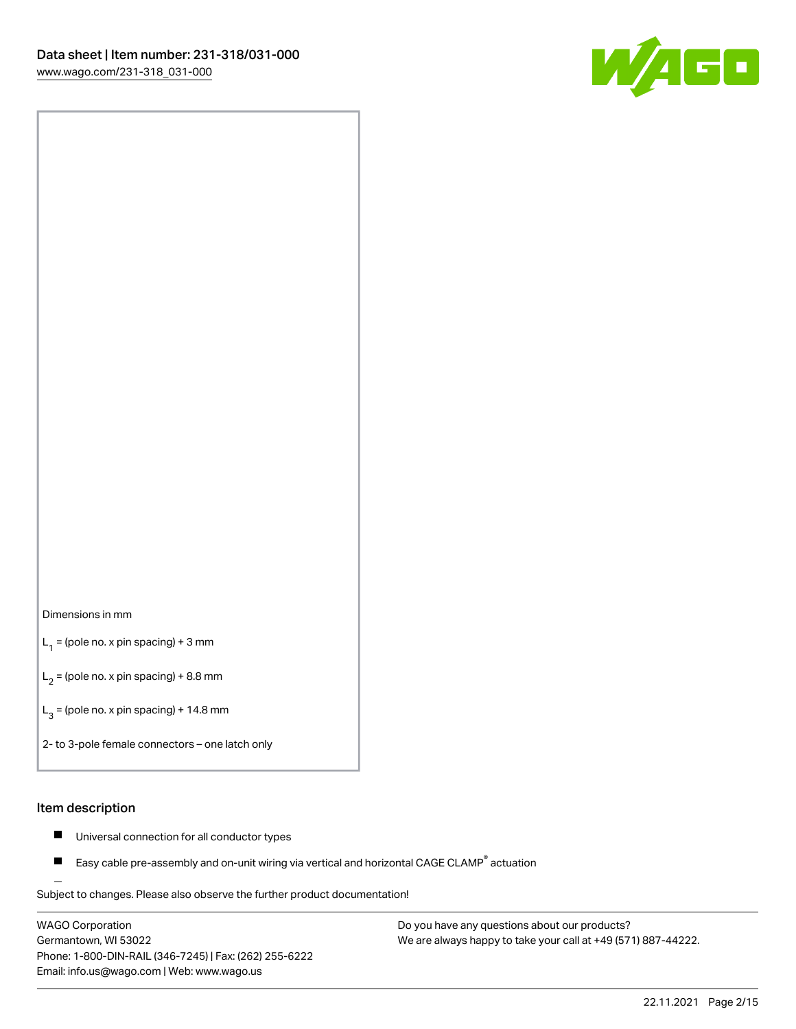

#### Dimensions in mm

 $L_1$  = (pole no. x pin spacing) + 3 mm

 $L_2$  = (pole no. x pin spacing) + 8.8 mm

 $L_3$  = (pole no. x pin spacing) + 14.8 mm

2- to 3-pole female connectors – one latch only

#### Item description

- Universal connection for all conductor types  $\blacksquare$
- Easy cable pre-assembly and on-unit wiring via vertical and horizontal CAGE CLAMP<sup>®</sup> actuation П

.<br>Subject to changes. Please also observe the further product documentation!

WAGO Corporation Germantown, WI 53022 Phone: 1-800-DIN-RAIL (346-7245) | Fax: (262) 255-6222 Email: info.us@wago.com | Web: www.wago.us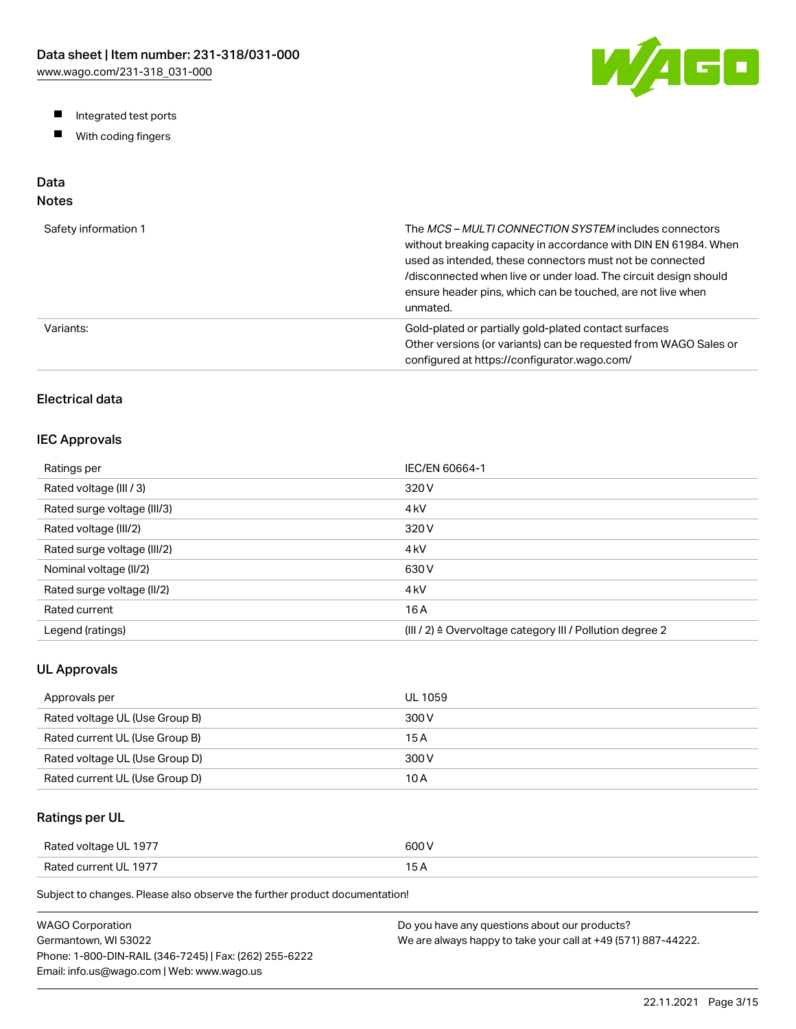W/AGO

- Integrated test ports
- $\blacksquare$ With coding fingers

# Data

## Notes

| Safety information 1 | The MCS-MULTI CONNECTION SYSTEM includes connectors<br>without breaking capacity in accordance with DIN EN 61984. When<br>used as intended, these connectors must not be connected<br>/disconnected when live or under load. The circuit design should<br>ensure header pins, which can be touched, are not live when<br>unmated. |
|----------------------|-----------------------------------------------------------------------------------------------------------------------------------------------------------------------------------------------------------------------------------------------------------------------------------------------------------------------------------|
| Variants:            | Gold-plated or partially gold-plated contact surfaces<br>Other versions (or variants) can be requested from WAGO Sales or<br>configured at https://configurator.wago.com/                                                                                                                                                         |

## Electrical data

#### IEC Approvals

| Ratings per                 | IEC/EN 60664-1                                                        |
|-----------------------------|-----------------------------------------------------------------------|
| Rated voltage (III / 3)     | 320 V                                                                 |
| Rated surge voltage (III/3) | 4 <sub>kV</sub>                                                       |
| Rated voltage (III/2)       | 320 V                                                                 |
| Rated surge voltage (III/2) | 4 <sub>k</sub> V                                                      |
| Nominal voltage (II/2)      | 630 V                                                                 |
| Rated surge voltage (II/2)  | 4 <sub>k</sub> V                                                      |
| Rated current               | 16 A                                                                  |
| Legend (ratings)            | $(III / 2)$ $\triangle$ Overvoltage category III / Pollution degree 2 |

#### UL Approvals

| Approvals per                  | <b>UL 1059</b> |
|--------------------------------|----------------|
| Rated voltage UL (Use Group B) | 300 V          |
| Rated current UL (Use Group B) | 15 A           |
| Rated voltage UL (Use Group D) | 300 V          |
| Rated current UL (Use Group D) | 10 A           |

## Ratings per UL

| Rated voltage UL 1977 | 600 V  |
|-----------------------|--------|
| Rated current UL 1977 | $\sim$ |

| WAGO Corporation                                       | Do you have any questions about our products?                 |
|--------------------------------------------------------|---------------------------------------------------------------|
| Germantown. WI 53022                                   | We are always happy to take your call at +49 (571) 887-44222. |
| Phone: 1-800-DIN-RAIL (346-7245)   Fax: (262) 255-6222 |                                                               |
| Email: info.us@wago.com   Web: www.wago.us             |                                                               |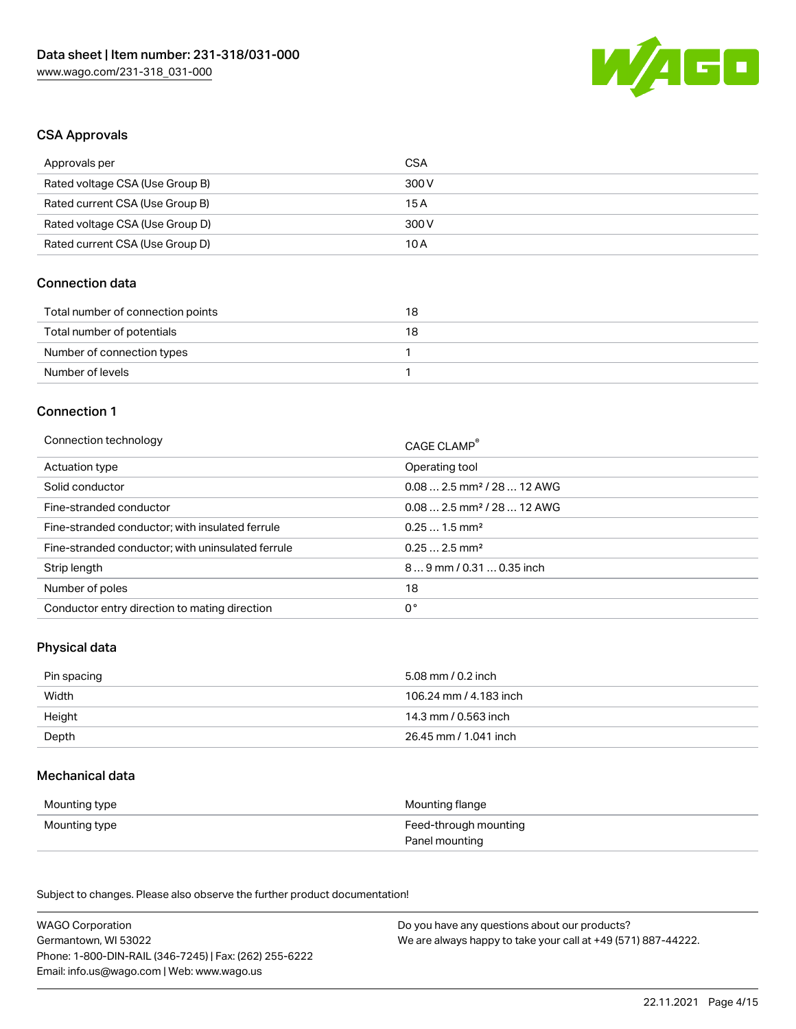

#### CSA Approvals

| Approvals per                   | CSA   |
|---------------------------------|-------|
| Rated voltage CSA (Use Group B) | 300 V |
| Rated current CSA (Use Group B) | 15 A  |
| Rated voltage CSA (Use Group D) | 300 V |
| Rated current CSA (Use Group D) | 10 A  |

#### Connection data

| Total number of connection points | 18 |
|-----------------------------------|----|
| Total number of potentials        | 18 |
| Number of connection types        |    |
| Number of levels                  |    |

#### Connection 1

| Connection technology                             | CAGE CLAMP®                            |
|---------------------------------------------------|----------------------------------------|
| Actuation type                                    | Operating tool                         |
| Solid conductor                                   | $0.082.5$ mm <sup>2</sup> / 28  12 AWG |
| Fine-stranded conductor                           | $0.082.5$ mm <sup>2</sup> / 28  12 AWG |
| Fine-stranded conductor; with insulated ferrule   | $0.251.5$ mm <sup>2</sup>              |
| Fine-stranded conductor; with uninsulated ferrule | $0.252.5$ mm <sup>2</sup>              |
| Strip length                                      | $89$ mm / 0.31  0.35 inch              |
| Number of poles                                   | 18                                     |
| Conductor entry direction to mating direction     | 0°                                     |

## Physical data

| Pin spacing | 5.08 mm / 0.2 inch     |
|-------------|------------------------|
| Width       | 106.24 mm / 4.183 inch |
| Height      | 14.3 mm / 0.563 inch   |
| Depth       | 26.45 mm / 1.041 inch  |

#### Mechanical data

| Mounting type | Mounting flange                         |
|---------------|-----------------------------------------|
| Mounting type | Feed-through mounting<br>Panel mounting |

| <b>WAGO Corporation</b>                                | Do you have any questions about our products?                 |
|--------------------------------------------------------|---------------------------------------------------------------|
| Germantown, WI 53022                                   | We are always happy to take your call at +49 (571) 887-44222. |
| Phone: 1-800-DIN-RAIL (346-7245)   Fax: (262) 255-6222 |                                                               |
| Email: info.us@wago.com   Web: www.wago.us             |                                                               |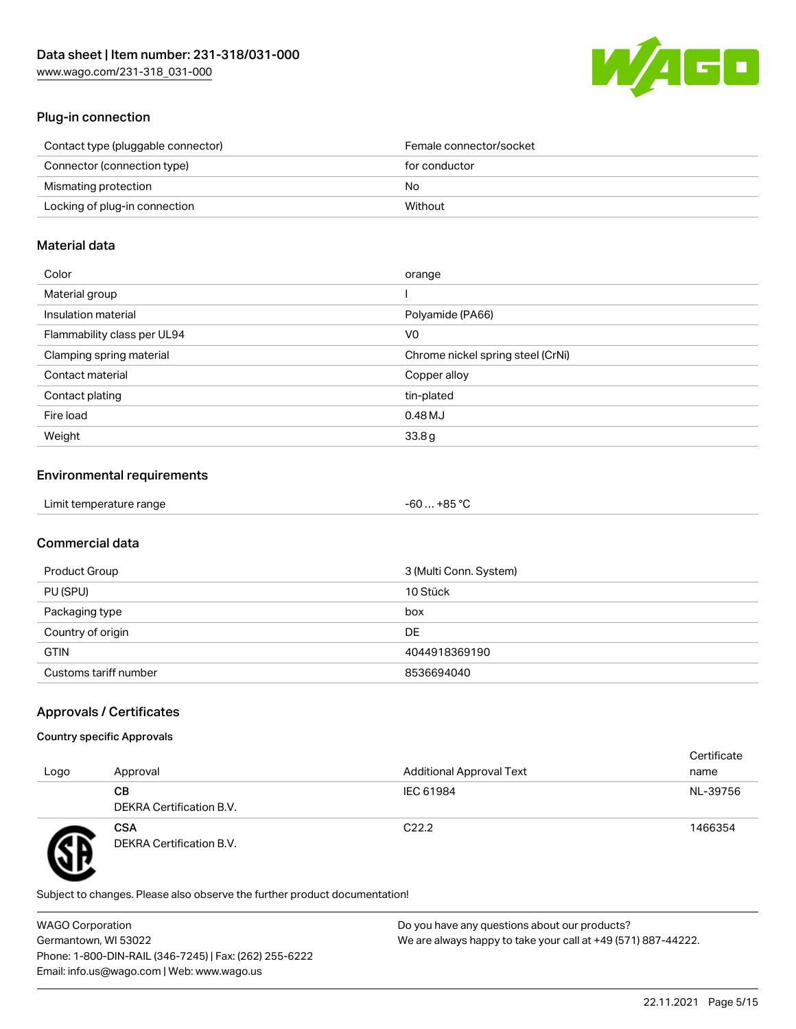

## Plug-in connection

| Contact type (pluggable connector) | Female connector/socket |
|------------------------------------|-------------------------|
| Connector (connection type)        | for conductor           |
| Mismating protection               | No.                     |
| Locking of plug-in connection      | Without                 |
|                                    |                         |

#### Material data

| Color                       | orange                            |
|-----------------------------|-----------------------------------|
| Material group              |                                   |
| Insulation material         | Polyamide (PA66)                  |
| Flammability class per UL94 | V0                                |
| Clamping spring material    | Chrome nickel spring steel (CrNi) |
| Contact material            | Copper alloy                      |
| Contact plating             | tin-plated                        |
| Fire load                   | 0.48 MJ                           |
| Weight                      | 33.8g                             |

## Environmental requirements

| Limit temperature range<br>. | . +85 °ົ<br>-60 |  |
|------------------------------|-----------------|--|
|------------------------------|-----------------|--|

## Commercial data

| Product Group         | 3 (Multi Conn. System) |
|-----------------------|------------------------|
| PU (SPU)              | 10 Stück               |
| Packaging type        | box                    |
| Country of origin     | DE                     |
| <b>GTIN</b>           | 4044918369190          |
| Customs tariff number | 8536694040             |

## Approvals / Certificates

#### Country specific Approvals

| Logo | Approval                               | <b>Additional Approval Text</b> | Certificate<br>name |
|------|----------------------------------------|---------------------------------|---------------------|
|      | CВ<br>DEKRA Certification B.V.         | IEC 61984                       | NL-39756            |
|      | <b>CSA</b><br>DEKRA Certification B.V. | C <sub>22.2</sub>               | 1466354             |

Subject to changes. Please also observe the further product documentation!

WAGO Corporation Germantown, WI 53022 Phone: 1-800-DIN-RAIL (346-7245) | Fax: (262) 255-6222 Email: info.us@wago.com | Web: www.wago.us Do you have any questions about our products? We are always happy to take your call at +49 (571) 887-44222.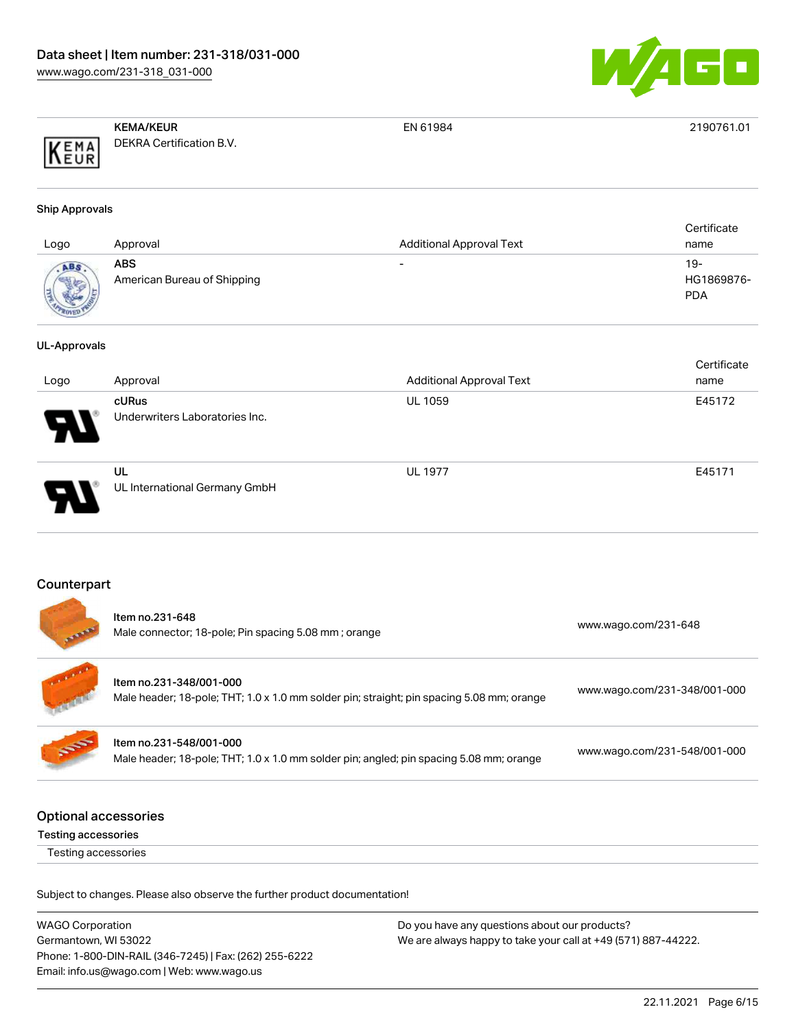

|      | <b>KEMA/KEUR</b>                | EN 61984 | 2190761.01 |
|------|---------------------------------|----------|------------|
| KEMA | <b>DEKRA Certification B.V.</b> |          |            |

#### Ship Approvals

| Logo         | Approval                           | <b>Additional Approval Text</b> | Certificate<br>name               |
|--------------|------------------------------------|---------------------------------|-----------------------------------|
| <b>ROVED</b> | ABS<br>American Bureau of Shipping | $\overline{\phantom{0}}$        | $19-$<br>HG1869876-<br><b>PDA</b> |

#### UL-Approvals

|                       |                                |                                 | Certificate |
|-----------------------|--------------------------------|---------------------------------|-------------|
| Logo                  | Approval                       | <b>Additional Approval Text</b> | name        |
|                       | cURus                          | <b>UL 1059</b>                  | E45172      |
| $\boldsymbol{\theta}$ | Underwriters Laboratories Inc. |                                 |             |
|                       | UL                             | <b>UL 1977</b>                  | E45171      |
| D                     | UL International Germany GmbH  |                                 |             |

#### Counterpart

| <b>Section</b> | Item no.231-648<br>Male connector; 18-pole; Pin spacing 5.08 mm; orange                                              | www.wago.com/231-648         |
|----------------|----------------------------------------------------------------------------------------------------------------------|------------------------------|
|                | Item no.231-348/001-000<br>Male header; 18-pole; THT; 1.0 x 1.0 mm solder pin; straight; pin spacing 5.08 mm; orange | www.wago.com/231-348/001-000 |
| <b>SOF</b>     | Item no.231-548/001-000<br>Male header; 18-pole; THT; 1.0 x 1.0 mm solder pin; angled; pin spacing 5.08 mm; orange   | www.wago.com/231-548/001-000 |
|                |                                                                                                                      |                              |

## Optional accessories

Testing accessories

Testing accessories

| <b>WAGO Corporation</b>                                | Do you have any questions about our products?                 |
|--------------------------------------------------------|---------------------------------------------------------------|
| Germantown, WI 53022                                   | We are always happy to take your call at +49 (571) 887-44222. |
| Phone: 1-800-DIN-RAIL (346-7245)   Fax: (262) 255-6222 |                                                               |
| Email: info.us@wago.com   Web: www.wago.us             |                                                               |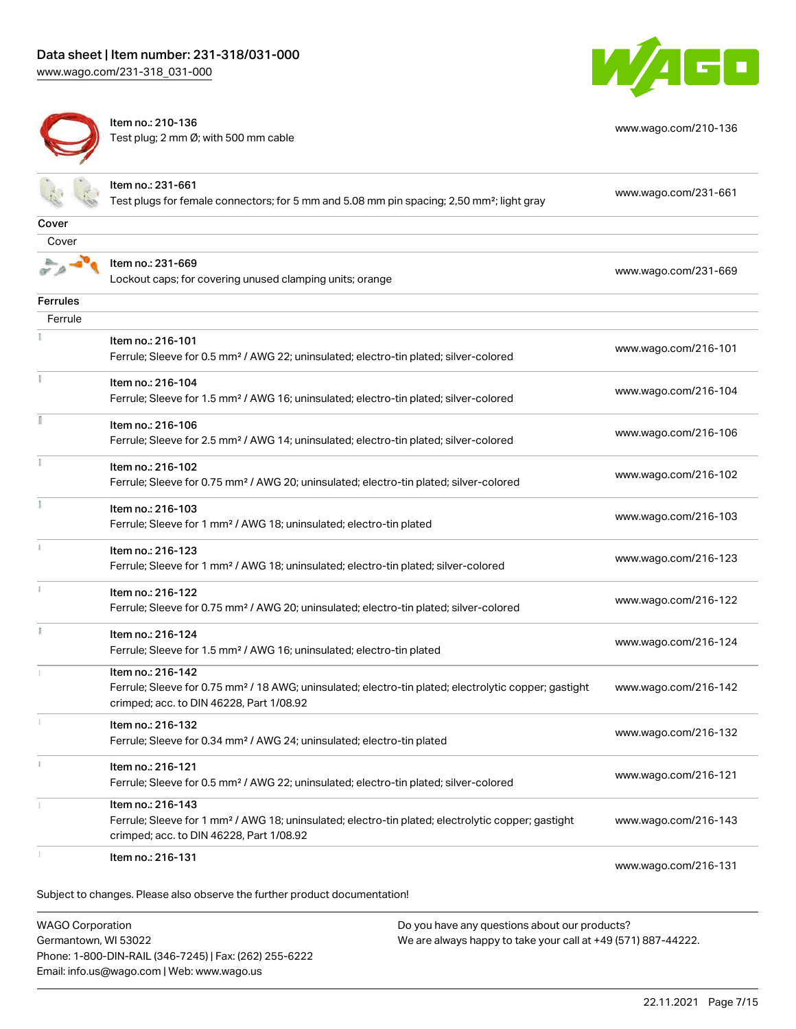[www.wago.com/231-318\\_031-000](http://www.wago.com/231-318_031-000)



[www.wago.com/210-136](http://www.wago.com/210-136)



Item no.: 210-136 Test plug; 2 mm Ø; with 500 mm cable

|                 | Item no.: 231-661<br>Test plugs for female connectors; for 5 mm and 5.08 mm pin spacing; 2,50 mm <sup>2</sup> ; light gray                                                         | www.wago.com/231-661 |
|-----------------|------------------------------------------------------------------------------------------------------------------------------------------------------------------------------------|----------------------|
|                 |                                                                                                                                                                                    |                      |
| Cover           |                                                                                                                                                                                    |                      |
| Cover           |                                                                                                                                                                                    |                      |
|                 | Item no.: 231-669<br>Lockout caps; for covering unused clamping units; orange                                                                                                      | www.wago.com/231-669 |
| <b>Ferrules</b> |                                                                                                                                                                                    |                      |
| Ferrule         |                                                                                                                                                                                    |                      |
|                 | Item no.: 216-101<br>Ferrule; Sleeve for 0.5 mm <sup>2</sup> / AWG 22; uninsulated; electro-tin plated; silver-colored                                                             | www.wago.com/216-101 |
|                 | Item no.: 216-104<br>Ferrule; Sleeve for 1.5 mm <sup>2</sup> / AWG 16; uninsulated; electro-tin plated; silver-colored                                                             | www.wago.com/216-104 |
|                 | Item no.: 216-106<br>Ferrule; Sleeve for 2.5 mm <sup>2</sup> / AWG 14; uninsulated; electro-tin plated; silver-colored                                                             | www.wago.com/216-106 |
|                 | Item no.: 216-102<br>Ferrule; Sleeve for 0.75 mm <sup>2</sup> / AWG 20; uninsulated; electro-tin plated; silver-colored                                                            | www.wago.com/216-102 |
|                 | Item no.: 216-103<br>Ferrule; Sleeve for 1 mm <sup>2</sup> / AWG 18; uninsulated; electro-tin plated                                                                               | www.wago.com/216-103 |
|                 | Item no.: 216-123<br>Ferrule; Sleeve for 1 mm <sup>2</sup> / AWG 18; uninsulated; electro-tin plated; silver-colored                                                               | www.wago.com/216-123 |
|                 | Item no.: 216-122<br>Ferrule; Sleeve for 0.75 mm <sup>2</sup> / AWG 20; uninsulated; electro-tin plated; silver-colored                                                            | www.wago.com/216-122 |
|                 | Item no.: 216-124<br>Ferrule; Sleeve for 1.5 mm <sup>2</sup> / AWG 16; uninsulated; electro-tin plated                                                                             | www.wago.com/216-124 |
|                 | Item no.: 216-142<br>Ferrule; Sleeve for 0.75 mm <sup>2</sup> / 18 AWG; uninsulated; electro-tin plated; electrolytic copper; gastight<br>crimped; acc. to DIN 46228, Part 1/08.92 | www.wago.com/216-142 |
|                 | Item no.: 216-132<br>Ferrule; Sleeve for 0.34 mm <sup>2</sup> / AWG 24; uninsulated; electro-tin plated                                                                            | www.wago.com/216-132 |
|                 | Item no.: 216-121<br>Ferrule; Sleeve for 0.5 mm <sup>2</sup> / AWG 22; uninsulated; electro-tin plated; silver-colored                                                             | www.wago.com/216-121 |
|                 | Item no.: 216-143<br>Ferrule; Sleeve for 1 mm <sup>2</sup> / AWG 18; uninsulated; electro-tin plated; electrolytic copper; gastight<br>crimped; acc. to DIN 46228, Part 1/08.92    | www.wago.com/216-143 |
|                 | Item no.: 216-131                                                                                                                                                                  | www.wago.com/216-131 |
|                 | Subject to changes. Please also observe the further product documentation!                                                                                                         |                      |
|                 |                                                                                                                                                                                    |                      |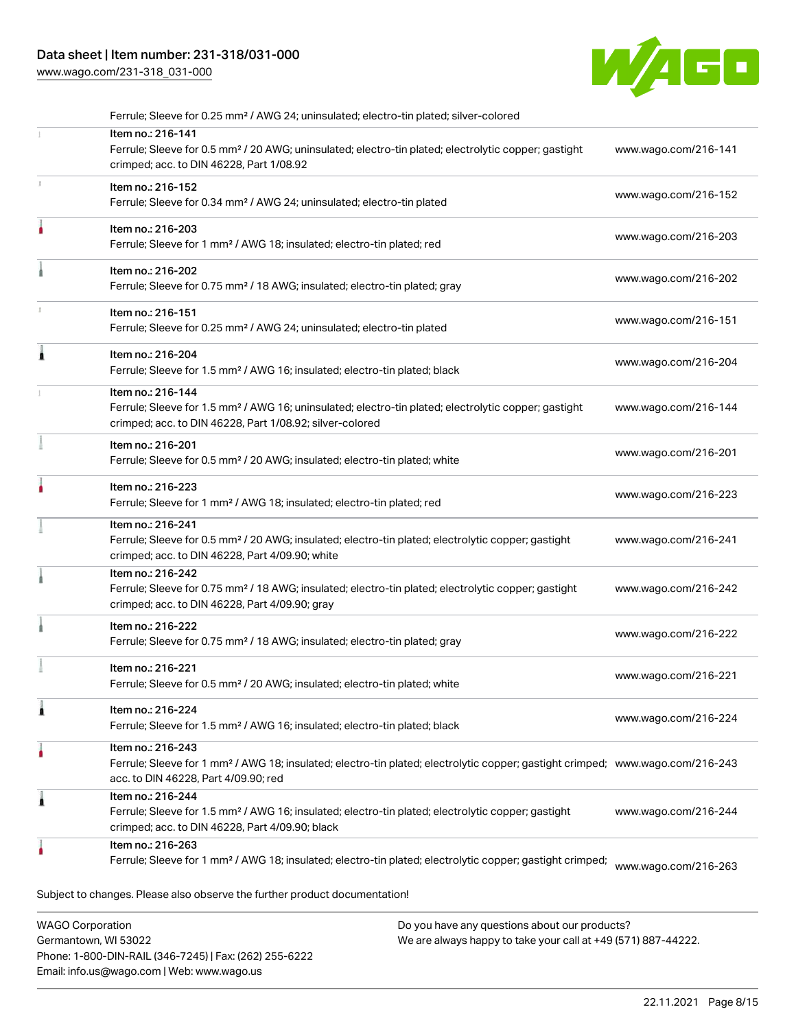## Data sheet | Item number: 231-318/031-000

[www.wago.com/231-318\\_031-000](http://www.wago.com/231-318_031-000)



|    | Ferrule; Sleeve for 0.25 mm <sup>2</sup> / AWG 24; uninsulated; electro-tin plated; silver-colored                                                                                                      |                      |
|----|---------------------------------------------------------------------------------------------------------------------------------------------------------------------------------------------------------|----------------------|
|    | Item no.: 216-141<br>Ferrule; Sleeve for 0.5 mm <sup>2</sup> / 20 AWG; uninsulated; electro-tin plated; electrolytic copper; gastight<br>crimped; acc. to DIN 46228, Part 1/08.92                       | www.wago.com/216-141 |
| X. | Item no.: 216-152<br>Ferrule; Sleeve for 0.34 mm <sup>2</sup> / AWG 24; uninsulated; electro-tin plated                                                                                                 | www.wago.com/216-152 |
|    | Item no.: 216-203<br>Ferrule; Sleeve for 1 mm <sup>2</sup> / AWG 18; insulated; electro-tin plated; red                                                                                                 | www.wago.com/216-203 |
|    | Item no.: 216-202<br>Ferrule; Sleeve for 0.75 mm <sup>2</sup> / 18 AWG; insulated; electro-tin plated; gray                                                                                             | www.wago.com/216-202 |
|    | Item no.: 216-151<br>Ferrule; Sleeve for 0.25 mm <sup>2</sup> / AWG 24; uninsulated; electro-tin plated                                                                                                 | www.wago.com/216-151 |
|    | Item no.: 216-204<br>Ferrule; Sleeve for 1.5 mm <sup>2</sup> / AWG 16; insulated; electro-tin plated; black                                                                                             | www.wago.com/216-204 |
|    | Item no.: 216-144<br>Ferrule; Sleeve for 1.5 mm <sup>2</sup> / AWG 16; uninsulated; electro-tin plated; electrolytic copper; gastight<br>crimped; acc. to DIN 46228, Part 1/08.92; silver-colored       | www.wago.com/216-144 |
|    | Item no.: 216-201<br>Ferrule; Sleeve for 0.5 mm <sup>2</sup> / 20 AWG; insulated; electro-tin plated; white                                                                                             | www.wago.com/216-201 |
|    | Item no.: 216-223<br>Ferrule; Sleeve for 1 mm <sup>2</sup> / AWG 18; insulated; electro-tin plated; red                                                                                                 | www.wago.com/216-223 |
|    | Item no.: 216-241<br>Ferrule; Sleeve for 0.5 mm <sup>2</sup> / 20 AWG; insulated; electro-tin plated; electrolytic copper; gastight<br>crimped; acc. to DIN 46228, Part 4/09.90; white                  | www.wago.com/216-241 |
|    | Item no.: 216-242<br>Ferrule; Sleeve for 0.75 mm <sup>2</sup> / 18 AWG; insulated; electro-tin plated; electrolytic copper; gastight<br>crimped; acc. to DIN 46228, Part 4/09.90; gray                  | www.wago.com/216-242 |
|    | Item no.: 216-222<br>Ferrule; Sleeve for 0.75 mm <sup>2</sup> / 18 AWG; insulated; electro-tin plated; gray                                                                                             | www.wago.com/216-222 |
|    | Item no.: 216-221<br>Ferrule; Sleeve for 0.5 mm <sup>2</sup> / 20 AWG; insulated; electro-tin plated; white                                                                                             | www.wago.com/216-221 |
|    | Item no.: 216-224<br>Ferrule; Sleeve for 1.5 mm <sup>2</sup> / AWG 16; insulated; electro-tin plated; black                                                                                             | www.wago.com/216-224 |
|    | Item no.: 216-243<br>Ferrule; Sleeve for 1 mm <sup>2</sup> / AWG 18; insulated; electro-tin plated; electrolytic copper; gastight crimped; www.wago.com/216-243<br>acc. to DIN 46228, Part 4/09.90; red |                      |
| 1  | Item no.: 216-244<br>Ferrule; Sleeve for 1.5 mm <sup>2</sup> / AWG 16; insulated; electro-tin plated; electrolytic copper; gastight<br>crimped; acc. to DIN 46228, Part 4/09.90; black                  | www.wago.com/216-244 |
|    | Item no.: 216-263<br>Ferrule; Sleeve for 1 mm <sup>2</sup> / AWG 18; insulated; electro-tin plated; electrolytic copper; gastight crimped;                                                              | www.wago.com/216-263 |
|    | Subject to changes. Please also observe the further product documentation!                                                                                                                              |                      |
|    |                                                                                                                                                                                                         |                      |

WAGO Corporation Germantown, WI 53022 Phone: 1-800-DIN-RAIL (346-7245) | Fax: (262) 255-6222 Email: info.us@wago.com | Web: www.wago.us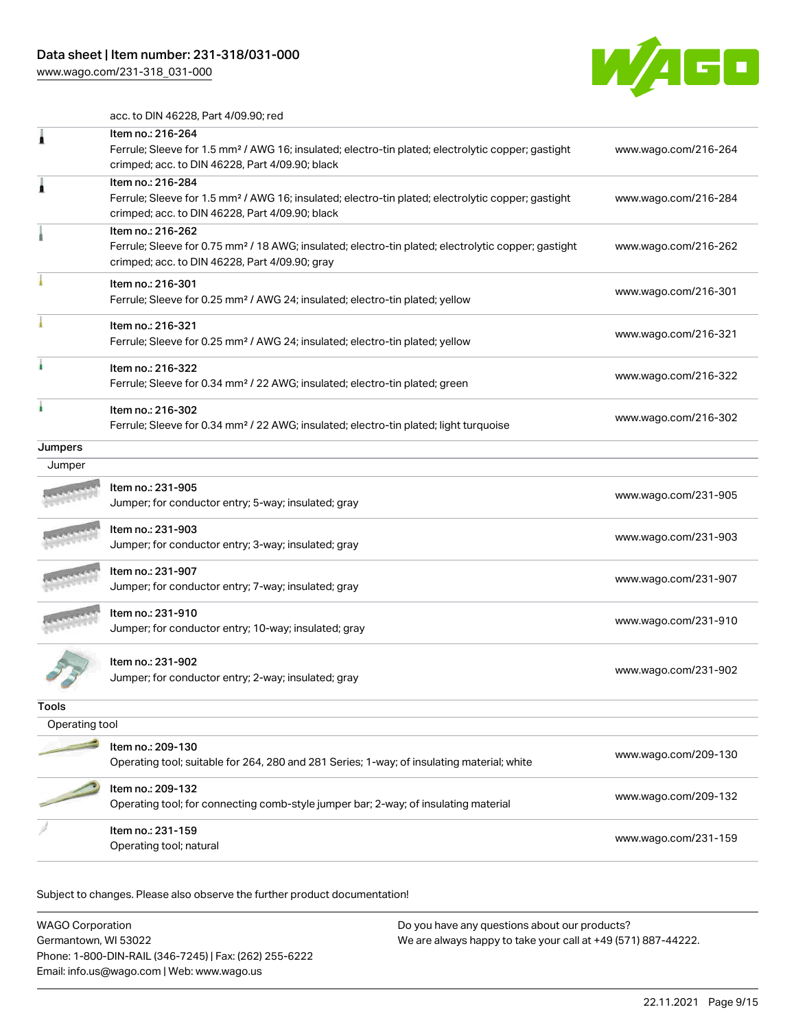[www.wago.com/231-318\\_031-000](http://www.wago.com/231-318_031-000)



acc. to DIN 46228, Part 4/09.90; red

|                | Item no.: 216-264                                                                                               |                      |
|----------------|-----------------------------------------------------------------------------------------------------------------|----------------------|
|                | Ferrule; Sleeve for 1.5 mm <sup>2</sup> / AWG 16; insulated; electro-tin plated; electrolytic copper; gastight  | www.wago.com/216-264 |
|                | crimped; acc. to DIN 46228, Part 4/09.90; black                                                                 |                      |
| ۸              | Item no.: 216-284                                                                                               |                      |
|                | Ferrule; Sleeve for 1.5 mm <sup>2</sup> / AWG 16; insulated; electro-tin plated; electrolytic copper; gastight  | www.wago.com/216-284 |
|                | crimped; acc. to DIN 46228, Part 4/09.90; black                                                                 |                      |
|                | Item no.: 216-262                                                                                               |                      |
|                | Ferrule; Sleeve for 0.75 mm <sup>2</sup> / 18 AWG; insulated; electro-tin plated; electrolytic copper; gastight | www.wago.com/216-262 |
|                | crimped; acc. to DIN 46228, Part 4/09.90; gray                                                                  |                      |
|                | Item no.: 216-301                                                                                               |                      |
|                | Ferrule; Sleeve for 0.25 mm <sup>2</sup> / AWG 24; insulated; electro-tin plated; yellow                        | www.wago.com/216-301 |
|                |                                                                                                                 |                      |
|                | Item no.: 216-321                                                                                               | www.wago.com/216-321 |
|                | Ferrule; Sleeve for 0.25 mm <sup>2</sup> / AWG 24; insulated; electro-tin plated; yellow                        |                      |
|                | Item no.: 216-322                                                                                               |                      |
|                | Ferrule; Sleeve for 0.34 mm <sup>2</sup> / 22 AWG; insulated; electro-tin plated; green                         | www.wago.com/216-322 |
|                |                                                                                                                 |                      |
| à              | Item no.: 216-302                                                                                               |                      |
|                | Ferrule; Sleeve for 0.34 mm <sup>2</sup> / 22 AWG; insulated; electro-tin plated; light turquoise               | www.wago.com/216-302 |
| Jumpers        |                                                                                                                 |                      |
| Jumper         |                                                                                                                 |                      |
|                | ltem no.: 231-905                                                                                               |                      |
|                |                                                                                                                 | www.wago.com/231-905 |
|                | Jumper; for conductor entry; 5-way; insulated; gray                                                             |                      |
|                | Item no.: 231-903                                                                                               |                      |
|                | Jumper; for conductor entry; 3-way; insulated; gray                                                             | www.wago.com/231-903 |
|                |                                                                                                                 |                      |
|                | Item no.: 231-907                                                                                               | www.wago.com/231-907 |
|                | Jumper; for conductor entry; 7-way; insulated; gray                                                             |                      |
|                | Item no.: 231-910                                                                                               |                      |
|                | Jumper; for conductor entry; 10-way; insulated; gray                                                            | www.wago.com/231-910 |
|                |                                                                                                                 |                      |
|                | Item no.: 231-902                                                                                               |                      |
|                | Jumper; for conductor entry; 2-way; insulated; gray                                                             | www.wago.com/231-902 |
|                |                                                                                                                 |                      |
| Tools          |                                                                                                                 |                      |
| Operating tool |                                                                                                                 |                      |
|                | Item no.: 209-130                                                                                               |                      |
|                | Operating tool; suitable for 264, 280 and 281 Series; 1-way; of insulating material; white                      | www.wago.com/209-130 |
|                |                                                                                                                 |                      |
|                | Item no.: 209-132                                                                                               | www.wago.com/209-132 |
|                | Operating tool; for connecting comb-style jumper bar; 2-way; of insulating material                             |                      |
|                | Item no.: 231-159                                                                                               |                      |
|                | Operating tool; natural                                                                                         | www.wago.com/231-159 |
|                |                                                                                                                 |                      |

| WAGO Corporation                                       | Do you have any questions about our products?                 |
|--------------------------------------------------------|---------------------------------------------------------------|
| Germantown, WI 53022                                   | We are always happy to take your call at +49 (571) 887-44222. |
| Phone: 1-800-DIN-RAIL (346-7245)   Fax: (262) 255-6222 |                                                               |
| Email: info.us@wago.com   Web: www.wago.us             |                                                               |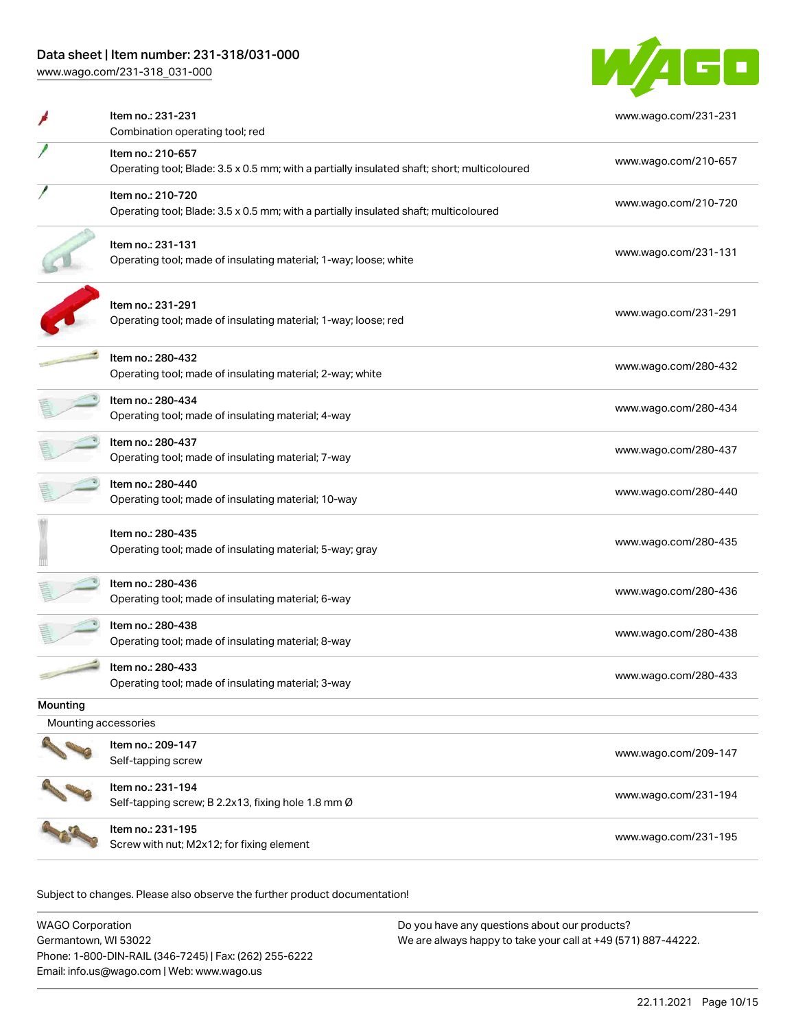## Data sheet | Item number: 231-318/031-000

[www.wago.com/231-318\\_031-000](http://www.wago.com/231-318_031-000)



|                      | Item no.: 231-231<br>Combination operating tool; red                                                             | www.wago.com/231-231 |  |
|----------------------|------------------------------------------------------------------------------------------------------------------|----------------------|--|
|                      | Item no.: 210-657<br>Operating tool; Blade: 3.5 x 0.5 mm; with a partially insulated shaft; short; multicoloured | www.wago.com/210-657 |  |
|                      | Item no.: 210-720<br>Operating tool; Blade: 3.5 x 0.5 mm; with a partially insulated shaft; multicoloured        | www.wago.com/210-720 |  |
|                      | Item no.: 231-131<br>Operating tool; made of insulating material; 1-way; loose; white                            | www.wago.com/231-131 |  |
|                      | Item no.: 231-291<br>Operating tool; made of insulating material; 1-way; loose; red                              | www.wago.com/231-291 |  |
|                      | Item no.: 280-432<br>Operating tool; made of insulating material; 2-way; white                                   | www.wago.com/280-432 |  |
|                      | Item no.: 280-434<br>Operating tool; made of insulating material; 4-way                                          | www.wago.com/280-434 |  |
|                      | ltem no.: 280-437<br>Operating tool; made of insulating material; 7-way                                          | www.wago.com/280-437 |  |
|                      | Item no.: 280-440<br>Operating tool; made of insulating material; 10-way                                         | www.wago.com/280-440 |  |
|                      | Item no.: 280-435<br>Operating tool; made of insulating material; 5-way; gray                                    | www.wago.com/280-435 |  |
|                      | ltem no.: 280-436<br>Operating tool; made of insulating material; 6-way                                          | www.wago.com/280-436 |  |
|                      | Item no.: 280-438<br>Operating tool; made of insulating material; 8-way                                          | www.wago.com/280-438 |  |
|                      | Item no.: 280-433<br>Operating tool; made of insulating material; 3-way                                          | www.wago.com/280-433 |  |
| Mounting             |                                                                                                                  |                      |  |
| Mounting accessories |                                                                                                                  |                      |  |
|                      | Item no.: 209-147<br>Self-tapping screw                                                                          | www.wago.com/209-147 |  |
|                      | Item no.: 231-194<br>Self-tapping screw; B 2.2x13, fixing hole 1.8 mm Ø                                          | www.wago.com/231-194 |  |
|                      | Item no.: 231-195<br>Screw with nut; M2x12; for fixing element                                                   | www.wago.com/231-195 |  |
|                      |                                                                                                                  |                      |  |

| WAGO Corporation                                       | Do you have any questions about our products?                 |
|--------------------------------------------------------|---------------------------------------------------------------|
| Germantown, WI 53022                                   | We are always happy to take your call at +49 (571) 887-44222. |
| Phone: 1-800-DIN-RAIL (346-7245)   Fax: (262) 255-6222 |                                                               |
| Email: info.us@wago.com   Web: www.wago.us             |                                                               |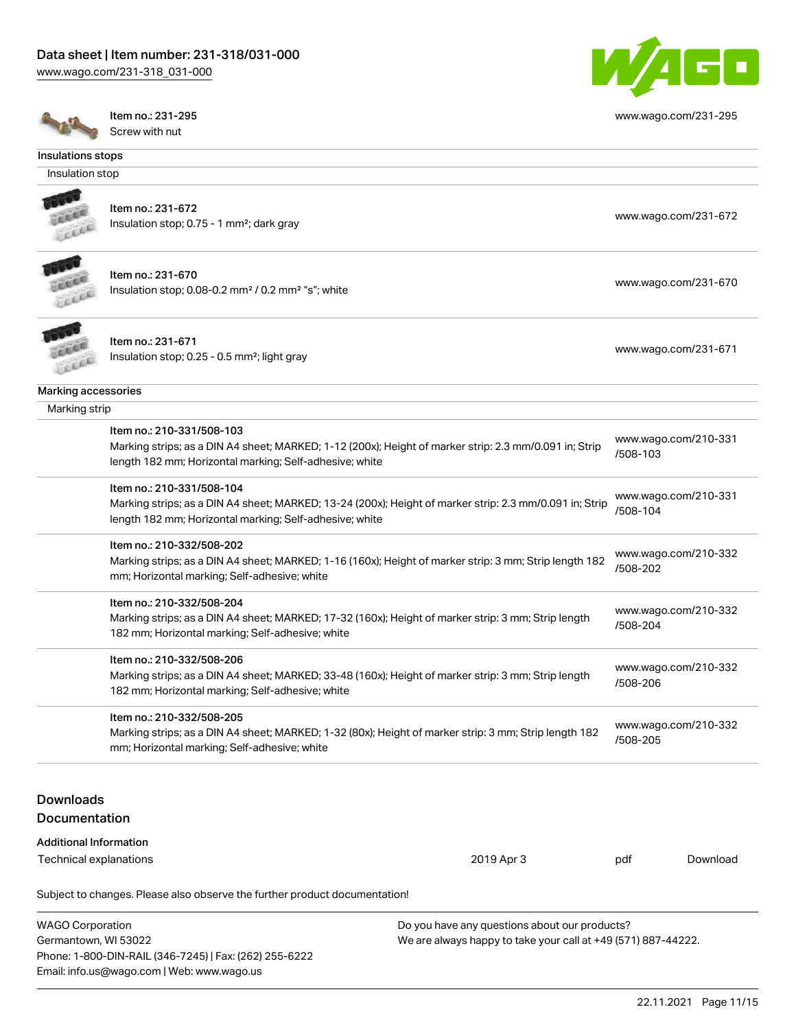[www.wago.com/231-318\\_031-000](http://www.wago.com/231-318_031-000)



[www.wago.com/231-295](http://www.wago.com/231-295)

Item no.: 231-295 Screw with nut

#### Insulations stops

Insulation stop



Item no.: 231-672 Insulation stop; 0.75 - 1 mm<sup>2</sup>; dark gray [www.wago.com/231-672](http://www.wago.com/231-672) msulation stop; 0.75 - 1 mm<sup>2</sup>; dark gray



Item no.: 231-670 Insulation stop; 0.08-0.2 mm<sup>2</sup> / 0.2 mm<sup>2</sup> "s"; white [www.wago.com/231-670](http://www.wago.com/231-670) www.wago.com/231-670



Item no.: 231-671

Marking accessories

Insulation stop; 0.25 - 0.5 mm²; light gray [www.wago.com/231-671](http://www.wago.com/231-671) msulation stop; 0.25 - 0.5 mm²; light gray

| Marking strip |                                                                                                                                                                                                 |                                  |
|---------------|-------------------------------------------------------------------------------------------------------------------------------------------------------------------------------------------------|----------------------------------|
|               | Item no.: 210-331/508-103<br>Marking strips; as a DIN A4 sheet; MARKED; 1-12 (200x); Height of marker strip: 2.3 mm/0.091 in; Strip<br>length 182 mm; Horizontal marking; Self-adhesive; white  | www.wago.com/210-331<br>/508-103 |
|               | Item no.: 210-331/508-104<br>Marking strips; as a DIN A4 sheet; MARKED; 13-24 (200x); Height of marker strip: 2.3 mm/0.091 in; Strip<br>length 182 mm; Horizontal marking; Self-adhesive; white | www.wago.com/210-331<br>/508-104 |
|               | Item no.: 210-332/508-202<br>Marking strips; as a DIN A4 sheet; MARKED; 1-16 (160x); Height of marker strip: 3 mm; Strip length 182<br>mm; Horizontal marking; Self-adhesive; white             | www.wago.com/210-332<br>/508-202 |
|               | ltem no.: 210-332/508-204<br>Marking strips; as a DIN A4 sheet; MARKED; 17-32 (160x); Height of marker strip: 3 mm; Strip length<br>182 mm; Horizontal marking; Self-adhesive; white            | www.wago.com/210-332<br>/508-204 |
|               |                                                                                                                                                                                                 |                                  |

Item no.: 210-332/508-206

Marking strips; as a DIN A4 sheet; MARKED; 33-48 (160x); Height of marker strip: 3 mm; Strip length 182 mm; Horizontal marking; Self-adhesive; white [www.wago.com/210-332](http://www.wago.com/210-332/508-206) [/508-206](http://www.wago.com/210-332/508-206)

Item no.: 210-332/508-205

Marking strips; as a DIN A4 sheet; MARKED; 1-32 (80x); Height of marker strip: 3 mm; Strip length 182 mm; Horizontal marking; Self-adhesive; white [www.wago.com/210-332](http://www.wago.com/210-332/508-205) [/508-205](http://www.wago.com/210-332/508-205)

## Downloads Documentation

# Additional Information

Technical explanations 2019 Apr 3 pdf

[Download](https://www.wago.com/global/d/1435602)

| <b>WAGO Corporation</b>                                | Do you have any questions about our products?                 |
|--------------------------------------------------------|---------------------------------------------------------------|
| Germantown. WI 53022                                   | We are always happy to take your call at +49 (571) 887-44222. |
| Phone: 1-800-DIN-RAIL (346-7245)   Fax: (262) 255-6222 |                                                               |
| Email: info.us@wago.com   Web: www.wago.us             |                                                               |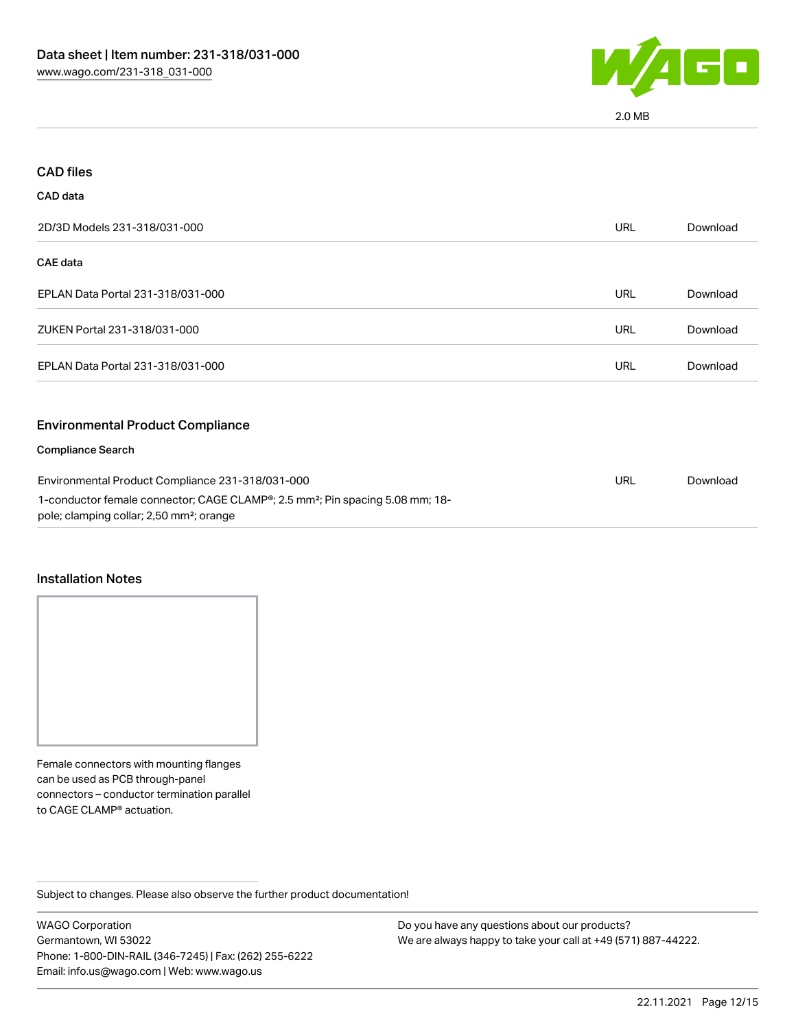

2.0 MB

| <b>CAD files</b>                                                                                                                                                                                      |            |          |
|-------------------------------------------------------------------------------------------------------------------------------------------------------------------------------------------------------|------------|----------|
| CAD data                                                                                                                                                                                              |            |          |
| 2D/3D Models 231-318/031-000                                                                                                                                                                          | <b>URL</b> | Download |
| <b>CAE</b> data                                                                                                                                                                                       |            |          |
| EPLAN Data Portal 231-318/031-000                                                                                                                                                                     | <b>URL</b> | Download |
| ZUKEN Portal 231-318/031-000                                                                                                                                                                          | <b>URL</b> | Download |
| EPLAN Data Portal 231-318/031-000                                                                                                                                                                     | <b>URL</b> | Download |
| <b>Environmental Product Compliance</b>                                                                                                                                                               |            |          |
| <b>Compliance Search</b>                                                                                                                                                                              |            |          |
| Environmental Product Compliance 231-318/031-000<br>1-conductor female connector; CAGE CLAMP®; 2.5 mm <sup>2</sup> ; Pin spacing 5.08 mm; 18-<br>pole; clamping collar; 2,50 mm <sup>2</sup> ; orange | URL        | Download |

#### Installation Notes

Female connectors with mounting flanges can be used as PCB through-panel connectors – conductor termination parallel to CAGE CLAMP® actuation.

Subject to changes. Please also observe the further product documentation!

WAGO Corporation Germantown, WI 53022 Phone: 1-800-DIN-RAIL (346-7245) | Fax: (262) 255-6222 Email: info.us@wago.com | Web: www.wago.us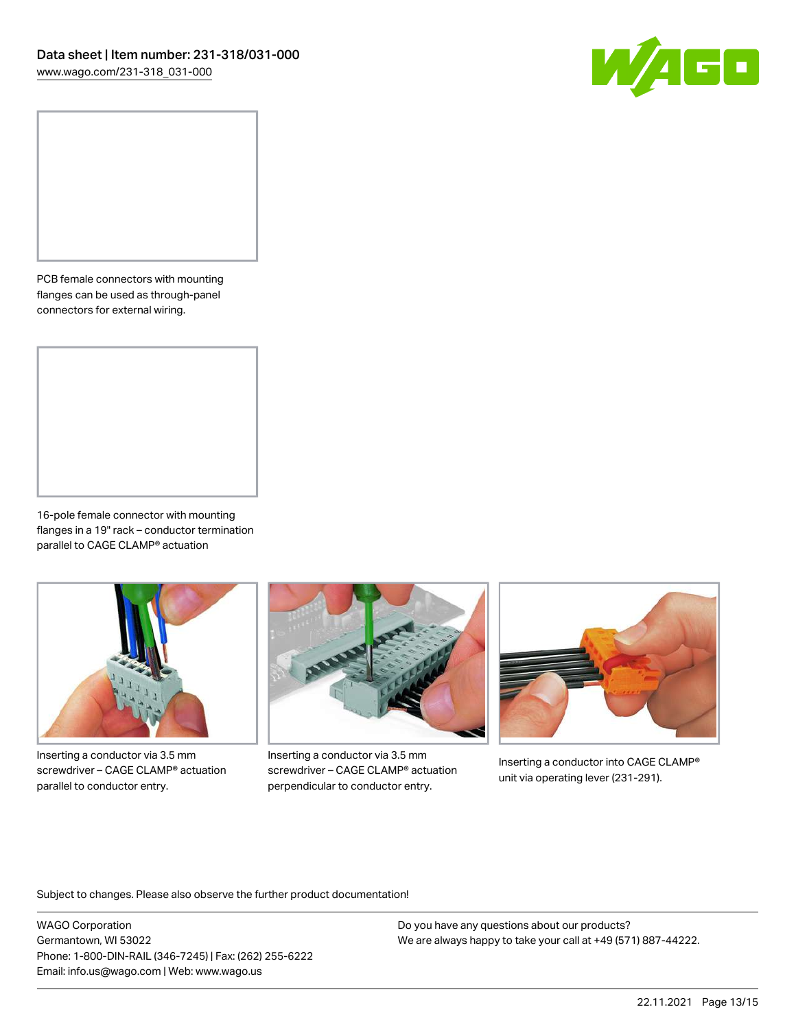

PCB female connectors with mounting flanges can be used as through-panel connectors for external wiring.

16-pole female connector with mounting flanges in a 19" rack – conductor termination parallel to CAGE CLAMP® actuation



Inserting a conductor via 3.5 mm screwdriver – CAGE CLAMP® actuation parallel to conductor entry.



Inserting a conductor via 3.5 mm screwdriver – CAGE CLAMP® actuation perpendicular to conductor entry.



Inserting a conductor into CAGE CLAMP® unit via operating lever (231-291).

Subject to changes. Please also observe the further product documentation!

WAGO Corporation Germantown, WI 53022 Phone: 1-800-DIN-RAIL (346-7245) | Fax: (262) 255-6222 Email: info.us@wago.com | Web: www.wago.us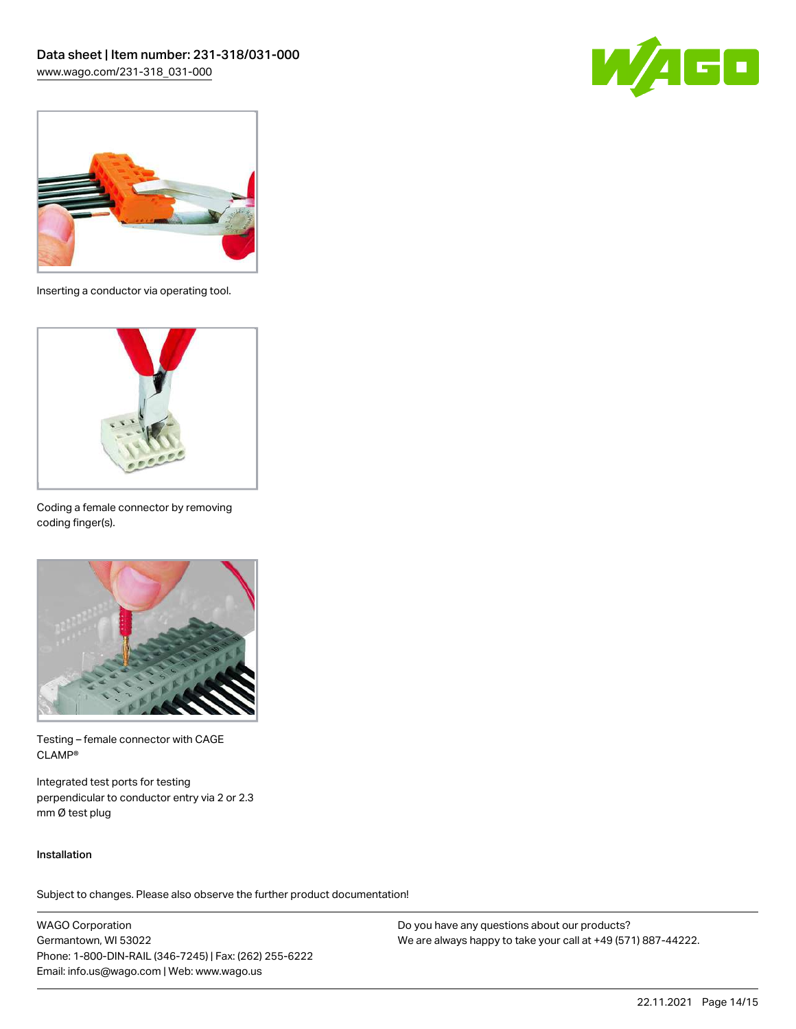



Inserting a conductor via operating tool.



Coding a female connector by removing coding finger(s).



Testing – female connector with CAGE CLAMP®

Integrated test ports for testing perpendicular to conductor entry via 2 or 2.3 mm Ø test plug

#### Installation

Subject to changes. Please also observe the further product documentation!

WAGO Corporation Germantown, WI 53022 Phone: 1-800-DIN-RAIL (346-7245) | Fax: (262) 255-6222 Email: info.us@wago.com | Web: www.wago.us